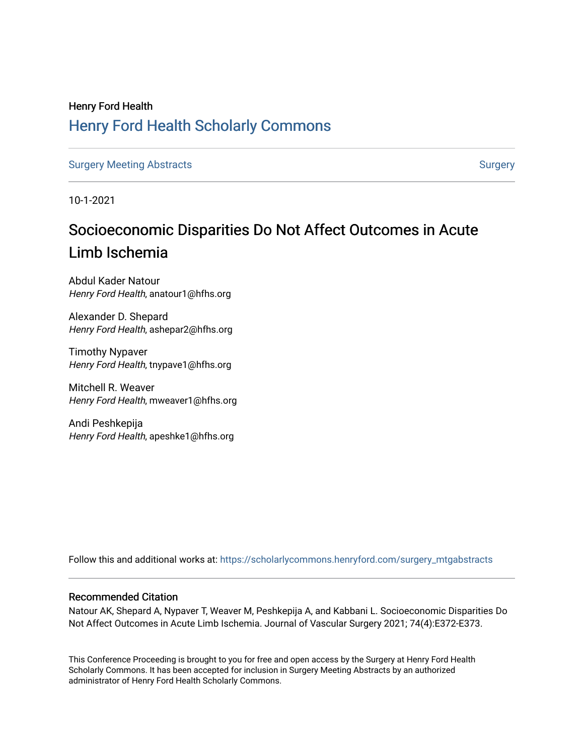# Henry Ford Health [Henry Ford Health Scholarly Commons](https://scholarlycommons.henryford.com/)

[Surgery Meeting Abstracts](https://scholarlycommons.henryford.com/surgery_mtgabstracts) and [Surgery](https://scholarlycommons.henryford.com/surgery) Surgery Surgery Surgery

10-1-2021

# Socioeconomic Disparities Do Not Affect Outcomes in Acute Limb Ischemia

Abdul Kader Natour Henry Ford Health, anatour1@hfhs.org

Alexander D. Shepard Henry Ford Health, ashepar2@hfhs.org

Timothy Nypaver Henry Ford Health, tnypave1@hfhs.org

Mitchell R. Weaver Henry Ford Health, mweaver1@hfhs.org

Andi Peshkepija Henry Ford Health, apeshke1@hfhs.org

Follow this and additional works at: [https://scholarlycommons.henryford.com/surgery\\_mtgabstracts](https://scholarlycommons.henryford.com/surgery_mtgabstracts?utm_source=scholarlycommons.henryford.com%2Fsurgery_mtgabstracts%2F216&utm_medium=PDF&utm_campaign=PDFCoverPages) 

## Recommended Citation

Natour AK, Shepard A, Nypaver T, Weaver M, Peshkepija A, and Kabbani L. Socioeconomic Disparities Do Not Affect Outcomes in Acute Limb Ischemia. Journal of Vascular Surgery 2021; 74(4):E372-E373.

This Conference Proceeding is brought to you for free and open access by the Surgery at Henry Ford Health Scholarly Commons. It has been accepted for inclusion in Surgery Meeting Abstracts by an authorized administrator of Henry Ford Health Scholarly Commons.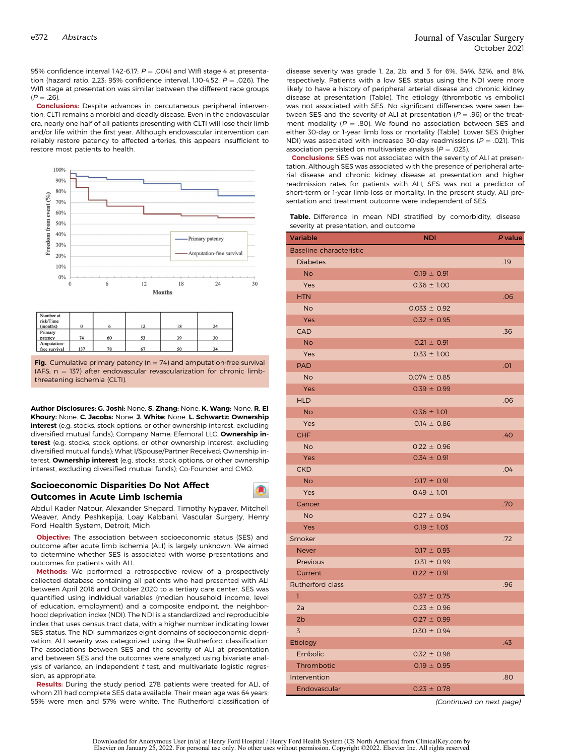95% confidence interval 1.42-6.17;  $P = .004$ ) and WIfI stage 4 at presentation (hazard ratio, 2.23; 95% confidence interval, 1.10-4.52;  $P = .026$ ). The WIfI stage at presentation was similar between the different race groups  $(P = .26)$ 

Conclusions: Despite advances in percutaneous peripheral intervention, CLTI remains a morbid and deadly disease. Even in the endovascular era, nearly one half of all patients presenting with CLTI will lose their limb and/or life within the first year. Although endovascular intervention can reliably restore patency to affected arteries, this appears insufficient to restore most patients to health.



| Number at<br>risk/Time<br>(months) |     |    | 12 | 18 | 24             |
|------------------------------------|-----|----|----|----|----------------|
| Primary<br>patency                 | 74  | 60 |    | 39 | 30             |
| Amputation-<br>free survival       | 137 | 78 | 67 | 50 | 3 <sub>A</sub> |

**Fig.** Cumulative primary patency ( $n = 74$ ) and amputation-free survival (AFS;  $n = 137$ ) after endovascular revascularization for chronic limbthreatening ischemia (CLTI).

Author Disclosures: G. Joshi: None. S. Zhang: None. K. Wang: None. R. El Khoury: None. C. Jacobs: None. J. White: None. L. Schwartz: Ownership interest (e.g. stocks, stock options, or other ownership interest, excluding diversified mutual funds); Company Name; Efemoral LLC. Ownership interest (e.g. stocks, stock options, or other ownership interest, excluding diversified mutual funds); What I/Spouse/Partner Received; Ownership interest. Ownership interest (e.g. stocks, stock options, or other ownership interest, excluding diversified mutual funds); Co-Founder and CMO.

### Socioeconomic Disparities Do Not Affect Outcomes in Acute Limb Ischemia

Abdul Kader Natour, Alexander Shepard, Timothy Nypaver, Mitchell Weaver, Andy Peshkepija, Loay Kabbani. Vascular Surgery, Henry Ford Health System, Detroit, Mich

Objective: The association between socioeconomic status (SES) and outcome after acute limb ischemia (ALI) is largely unknown. We aimed to determine whether SES is associated with worse presentations and outcomes for patients with ALI.

Methods: We performed a retrospective review of a prospectively collected database containing all patients who had presented with ALI between April 2016 and October 2020 to a tertiary care center. SES was quantified using individual variables (median household income, level of education, employment) and a composite endpoint, the neighborhood deprivation index (NDI). The NDI is a standardized and reproducible index that uses census tract data, with a higher number indicating lower SES status. The NDI summarizes eight domains of socioeconomic deprivation. ALI severity was categorized using the Rutherford classification. The associations between SES and the severity of ALI at presentation and between SES and the outcomes were analyzed using bivariate analysis of variance, an independent  $t$  test, and multivariate logistic regression, as appropriate.

Results: During the study period, 278 patients were treated for ALI, of whom 211 had complete SES data available. Their mean age was 64 years; 55% were men and 57% were white. The Rutherford classification of

disease severity was grade 1, 2a, 2b, and 3 for 6%, 54%, 32%, and 8%, respectively. Patients with a low SES status using the NDI were more likely to have a history of peripheral arterial disease and chronic kidney disease at presentation (Table). The etiology (thrombotic vs embolic) was not associated with SES. No significant differences were seen between SES and the severity of ALI at presentation ( $P = .96$ ) or the treatment modality ( $P = .80$ ). We found no association between SES and either 30-day or 1-year limb loss or mortality (Table). Lower SES (higher NDI) was associated with increased 30-day readmissions ( $P = .021$ ). This association persisted on multivariate analysis ( $P = .023$ ).

Conclusions: SES was not associated with the severity of ALI at presentation. Although SES was associated with the presence of peripheral arterial disease and chronic kidney disease at presentation and higher readmission rates for patients with ALI, SES was not a predictor of short-term or 1-year limb loss or mortality. In the present study, ALI presentation and treatment outcome were independent of SES.

Table. Difference in mean NDI stratified by comorbidity, disease severity at presentation, and outcome

| <b>Variable</b>         | NDI              | P value |
|-------------------------|------------------|---------|
| Baseline characteristic |                  |         |
| <b>Diabetes</b>         |                  | .19     |
| <b>No</b>               | $0.19 \pm 0.91$  |         |
| Yes                     | $0.36 \pm 1.00$  |         |
| <b>HTN</b>              |                  | .06     |
| <b>No</b>               | $0.033 \pm 0.92$ |         |
| Yes                     | $0.32 \pm 0.95$  |         |
| <b>CAD</b>              |                  | .36     |
| <b>No</b>               | $0.21 \pm 0.91$  |         |
| Yes                     | $0.33 \pm 1.00$  |         |
| <b>PAD</b>              |                  | .01     |
| <b>No</b>               | $0.074 \pm 0.85$ |         |
| Yes                     | $0.39 \pm 0.99$  |         |
| <b>HLD</b>              |                  | .06     |
| <b>No</b>               | $0.36 \pm 1.01$  |         |
| Yes                     | $0.14 \pm 0.86$  |         |
| CHF                     |                  | .40     |
| <b>No</b>               | $0.22 \pm 0.96$  |         |
| Yes                     | $0.34 \pm 0.91$  |         |
| <b>CKD</b>              |                  | .04     |
| <b>No</b>               | $0.17 \pm 0.91$  |         |
| Yes                     | $0.49 \pm 1.01$  |         |
| Cancer                  |                  | .70     |
| <b>No</b>               | $0.27 \pm 0.94$  |         |
| Yes                     | $0.19 \pm 1.03$  |         |
| Smoker                  |                  | .72     |
| <b>Never</b>            | $0.17 \pm 0.93$  |         |
| Previous                | $0.31 \pm 0.99$  |         |
| Current                 | $0.22 \pm 0.91$  |         |
| Rutherford class        |                  | .96     |
| T                       | $0.37 \pm 0.75$  |         |
| 2a                      | $0.23 \pm 0.96$  |         |
| 2 <sub>b</sub>          | $0.27 \pm 0.99$  |         |
| 3                       | $0.30 \pm 0.94$  |         |
| Etiology                |                  | .43     |
| Embolic                 | $0.32 \pm 0.98$  |         |
| Thrombotic              | $0.19 \pm 0.95$  |         |
| Intervention            |                  | .80     |
| Endovascular            | $0.23 \pm 0.78$  |         |

(Continued on next page)